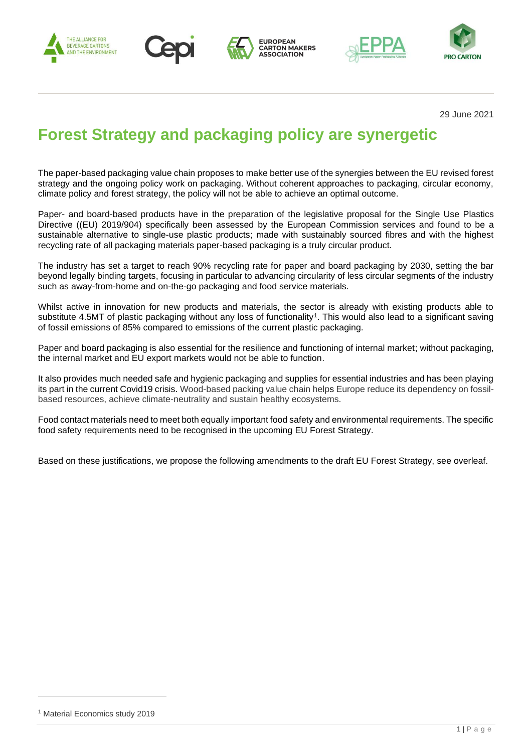









29 June 2021

# **Forest Strategy and packaging policy are synergetic**

The paper-based packaging value chain proposes to make better use of the synergies between the EU revised forest strategy and the ongoing policy work on packaging. Without coherent approaches to packaging, circular economy, climate policy and forest strategy, the policy will not be able to achieve an optimal outcome.

Paper- and board-based products have in the preparation of the legislative proposal for the Single Use Plastics Directive ((EU) 2019/904) specifically been assessed by the European Commission services and found to be a sustainable alternative to single-use plastic products; made with sustainably sourced fibres and with the highest recycling rate of all packaging materials paper-based packaging is a truly circular product.

The industry has set a target to reach 90% recycling rate for paper and board packaging by 2030, setting the bar beyond legally binding targets, focusing in particular to advancing circularity of less circular segments of the industry such as away-from-home and on-the-go packaging and food service materials.

Whilst active in innovation for new products and materials, the sector is already with existing products able to substitute 4.5MT of plastic packaging without any loss of functionality<sup>1</sup>. This would also lead to a significant saving of fossil emissions of 85% compared to emissions of the current plastic packaging.

Paper and board packaging is also essential for the resilience and functioning of internal market; without packaging, the internal market and EU export markets would not be able to function.

It also provides much needed safe and hygienic packaging and supplies for essential industries and has been playing its part in the current Covid19 crisis. Wood-based packing value chain helps Europe reduce its dependency on fossilbased resources, achieve climate-neutrality and sustain healthy ecosystems.

Food contact materials need to meet both equally important food safety and environmental requirements. The specific food safety requirements need to be recognised in the upcoming EU Forest Strategy.

Based on these justifications, we propose the following amendments to the draft EU Forest Strategy, see overleaf.

<sup>1</sup> Material Economics study 2019